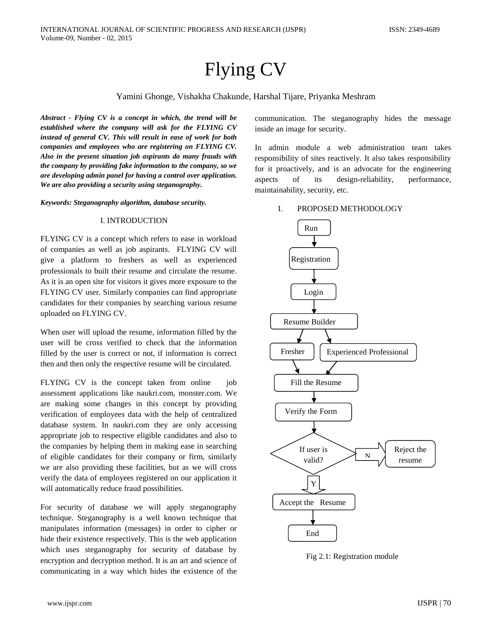# Flying CV

# Yamini Ghonge, Vishakha Chakunde, Harshal Tijare, Priyanka Meshram

*Abstract - Flying CV is a concept in which, the trend will be established where the company will ask for the FLYING CV instead of general CV. This will result in ease of work for both companies and employees who are registering on FLYING CV. Also in the present situation job aspirants do many frauds with the company by providing fake information to the company, so we are developing admin panel for having a control over application. We are also providing a security using steganography.*

*Keywords: Steganography algorithm, database security.*

#### I. INTRODUCTION

FLYING CV is a concept which refers to ease in workload of companies as well as job aspirants. FLYING CV will give a platform to freshers as well as experienced professionals to built their resume and circulate the resume. As it is an open site for visitors it gives more exposure to the FLYING CV user. Similarly companies can find appropriate candidates for their companies by searching various resume uploaded on FLYING CV.

When user will upload the resume, information filled by the user will be cross verified to check that the information filled by the user is correct or not, if information is correct then and then only the respective resume will be circulated.

FLYING CV is the concept taken from online job assessment applications like naukri.com, monster.com. We are making some changes in this concept by providing verification of employees data with the help of centralized database system. In naukri.com they are only accessing appropriate job to respective eligible candidates and also to the companies by helping them in making ease in searching of eligible candidates for their company or firm, similarly we are also providing these facilities, but as we will cross verify the data of employees registered on our application it will automatically reduce fraud possibilities.

For security of database we will apply steganography technique. Steganography is a well known technique that manipulates information (messages) in order to cipher or hide their existence respectively. This is the web application which uses steganography for security of database by encryption and decryption method. It is an art and science of communicating in a way which hides the existence of the communication. The steganography hides the message inside an image for security.

In admin module a web administration team takes responsibility of sites reactively. It also takes responsibility for it proactively, and is an advocate for the engineering aspects of its design-reliability, performance, maintainability, security, etc.

# I. PROPOSED METHODOLOGY



Fig 2.1: Registration module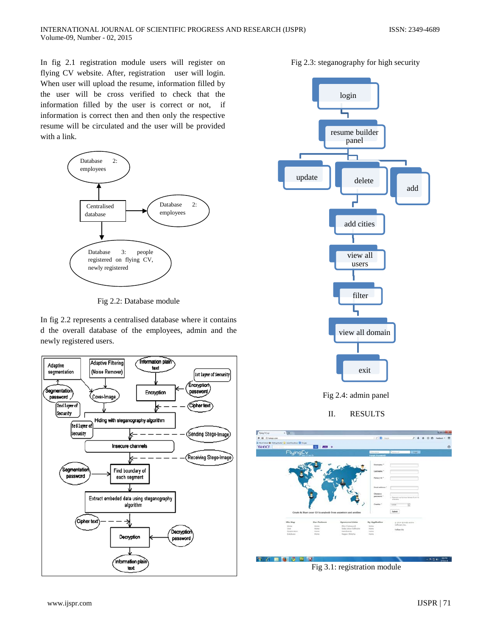In fig 2.1 registration module users will register on flying CV website. After, registration user will login. When user will upload the resume, information filled by the user will be cross verified to check that the information filled by the user is correct or not, if information is correct then and then only the respective resume will be circulated and the user will be provided with a link.



Fig 2.2: Database module

In fig 2.2 represents a centralised database where it contains d the overall database of the employees, admin and the newly registered users.



Fig 2.3: steganography for high security



II. RESULTS